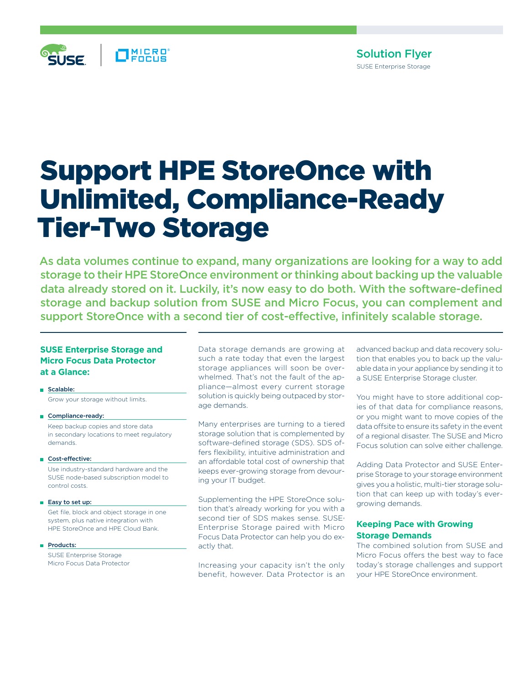

# Support HPE StoreOnce with Unlimited, Compliance-Ready Tier-Two Storage

As data volumes continue to expand, many organizations are looking for a way to add storage to their HPE StoreOnce environment or thinking about backing up the valuable data already stored on it. Luckily, it's now easy to do both. With the software-defined storage and backup solution from SUSE and Micro Focus, you can complement and support StoreOnce with a second tier of cost-effective, infinitely scalable storage.

# **SUSE Enterprise Storage and Micro Focus Data Protector at a Glance:**

Scalable: Grow your storage without limits.

- Compliance-ready: Keep backup copies and store data in secondary locations to meet regulatory demands.
- Cost-effective:

 Use industry-standard hardware and the SUSE node-based subscription model to control costs.

■ Easy to set up:

 Get file, block and object storage in one system, plus native integration with HPE StoreOnce and HPE Cloud Bank.

Products:

 SUSE Enterprise Storage Micro Focus Data Protector Data storage demands are growing at such a rate today that even the largest storage appliances will soon be overwhelmed. That's not the fault of the appliance—almost every current storage solution is quickly being outpaced by storage demands.

Many enterprises are turning to a tiered storage solution that is complemented by software-defined storage (SDS). SDS offers flexibility, intuitive administration and an affordable total cost of ownership that keeps ever-growing storage from devouring your IT budget.

Supplementing the HPE StoreOnce solution that's already working for you with a second tier of SDS makes sense. SUSE® Enterprise Storage paired with Micro Focus Data Protector can help you do exactly that.

Increasing your capacity isn't the only benefit, however. Data Protector is an advanced backup and data recovery solution that enables you to back up the valuable data in your appliance by sending it to a SUSE Enterprise Storage cluster.

You might have to store additional copies of that data for compliance reasons, or you might want to move copies of the data offsite to ensure its safety in the event of a regional disaster. The SUSE and Micro Focus solution can solve either challenge.

Adding Data Protector and SUSE Enterprise Storage to your storage environment gives you a holistic, multi-tier storage solution that can keep up with today's evergrowing demands.

# **Keeping Pace with Growing Storage Demands**

The combined solution from SUSE and Micro Focus offers the best way to face today's storage challenges and support your HPE StoreOnce environment.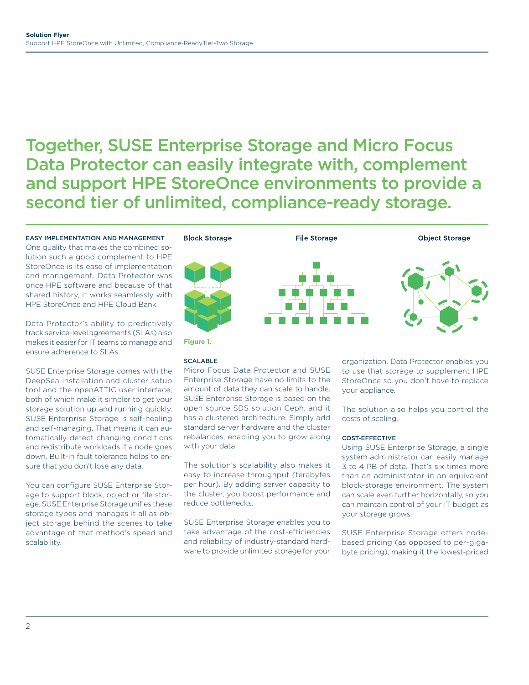# Together, SUSE Enterprise Storage and Micro Focus Data Protector can easily integrate with, complement and support HPE StoreOnce environments to provide a second tier of unlimited, compliance-ready storage.

# EASY IMPLEMENTATION AND MANAGEMENT

One quality that makes the combined solution such a good complement to HPE StoreOnce is its ease of implementation and management. Data Protector was once HPE software and because of that shared history, it works seamlessly with HPE StoreOnce and HPE Cloud Bank.

Data Protector's ability to predictively track service-level agreements (SLAs) also makes it easier for IT teams to manage and ensure adherence to SLAs.

SUSE Enterprise Storage comes with the DeepSea installation and cluster setup tool and the openATTIC user interface, both of which make it simpler to get your storage solution up and running quickly. SUSE Enterprise Storage is self-healing and self-managing. That means it can automatically detect changing conditions and redistribute workloads if a node goes down. Built-in fault tolerance helps to ensure that you don't lose any data.

You can configure SUSE Enterprise Storage to support block, object or file storage. SUSE Enterprise Storage unifies these storage types and manages it all as object storage behind the scenes to take advantage of that method's speed and scalability.



#### SCALABLE

Micro Focus Data Protector and SUSE Enterprise Storage have no limits to the amount of data they can scale to handle. SUSE Enterprise Storage is based on the open source SDS solution Ceph, and it has a clustered architecture. Simply add standard server hardware and the cluster rebalances, enabling you to grow along with your data.

The solution's scalability also makes it easy to increase throughput (terabytes per hour). By adding server capacity to the cluster, you boost performance and reduce bottlenecks.

SUSE Enterprise Storage enables you to take advantage of the cost-efficiencies and reliability of industry-standard hardware to provide unlimited storage for your organization. Data Protector enables you to use that storage to supplement HPE StoreOnce so you don't have to replace your appliance.

The solution also helps you control the costs of scaling.

#### COST-EFFECTIVE

Using SUSE Enterprise Storage, a single system administrator can easily manage 3 to 4 PB of data. That's six times more than an administrator in an equivalent block-storage environment. The system can scale even further horizontally, so you can maintain control of your IT budget as your storage grows.

SUSE Enterprise Storage offers nodebased pricing (as opposed to per-gigabyte pricing), making it the lowest-priced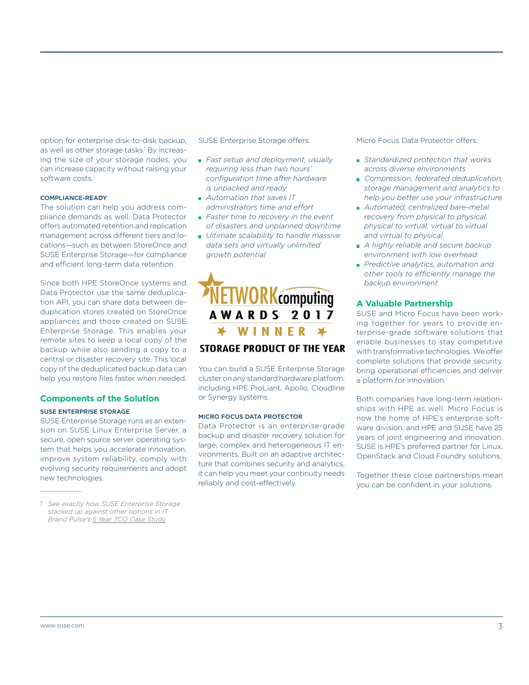option for enterprise disk-to-disk backup, as well as other storage tasks.<sup>1</sup> By increasing the size of your storage nodes, you can increase capacity without raising your software costs.

#### COMPLIANCE-READY

The solution can help you address compliance demands as well. Data Protector offers automated retention and replication management across different tiers and locations—such as between StoreOnce and SUSE Enterprise Storage—for compliance and efficient long-term data retention.

Since both HPE StoreOnce systems and Data Protector use the same deduplication API, you can share data between deduplication stores created on StoreOnce appliances and those created on SUSE Enterprise Storage. This enables your remote sites to keep a local copy of the backup while also sending a copy to a central or disaster recovery site. This local copy of the deduplicated backup data can help you restore files faster when needed.

# **Components of the Solution**

#### SUSE ENTERPRISE STORAGE

SUSE Enterprise Storage runs as an extension on SUSE Linux Enterprise Server, a secure, open source server operating system that helps you accelerate innovation, improve system reliability, comply with evolving security requirements and adopt new technologies.

1 *See exactly how SUSE Enterprise Storage stacked up against other options in IT Brand Pulse's 5 Year TCO Case [Study](https://www.suse.com/docrep/documents/taz9nke6i8/5_year_tco_case_study.pdf).*

SUSE Enterprise Storage offers:

- *Fast setup and deployment, usually requiring less than two hours' configuration time after hardware is unpacked and ready*
- *Automation that saves IT administrators time and effort*
- *Faster time to recovery in the event of disasters and unplanned downtime*
- *Ultimate scalability to handle massive data sets and virtually unlimited growth potential*



### You can build a SUSE Enterprise Storage cluster on any standard hardware platform, including HPE ProLiant, Apollo, Cloudline or Synergy systems.

#### MICRO FOCUS DATA PROTECTOR

Data Protector is an enterprise-grade backup and disaster recovery solution for large, complex and heterogeneous IT environments. Built on an adaptive architecture that combines security and analytics, it can help you meet your continuity needs reliably and cost-effectively.

Micro Focus Data Protector offers:

- *Standardized protection that works across diverse environments*
- *Compression, federated deduplication, storage management and analytics to help you better use your infrastructure*
- *Automated, centralized bare-metal recovery from physical to physical, physical to virtual, virtual to virtual and virtual to physical*
- *A highly reliable and secure backup environment with low overhead*
- *Predictive analytics, automation and other tools to efficiently manage the backup environment*

## **A Valuable Partnership**

SUSE and Micro Focus have been working together for years to provide enterprise-grade software solutions that enable businesses to stay competitive with transformative technologies. We offer complete solutions that provide security, bring operational efficiencies and deliver a platform for innovation.

Both companies have long-term relationships with HPE as well. Micro Focus is now the home of HPE's enterprise software division, and HPE and SUSE have 25 years of joint engineering and innovation. SUSE is HPE's preferred partner for Linux, OpenStack and Cloud Foundry solutions.

Together these close partnerships mean you can be confident in your solutions.